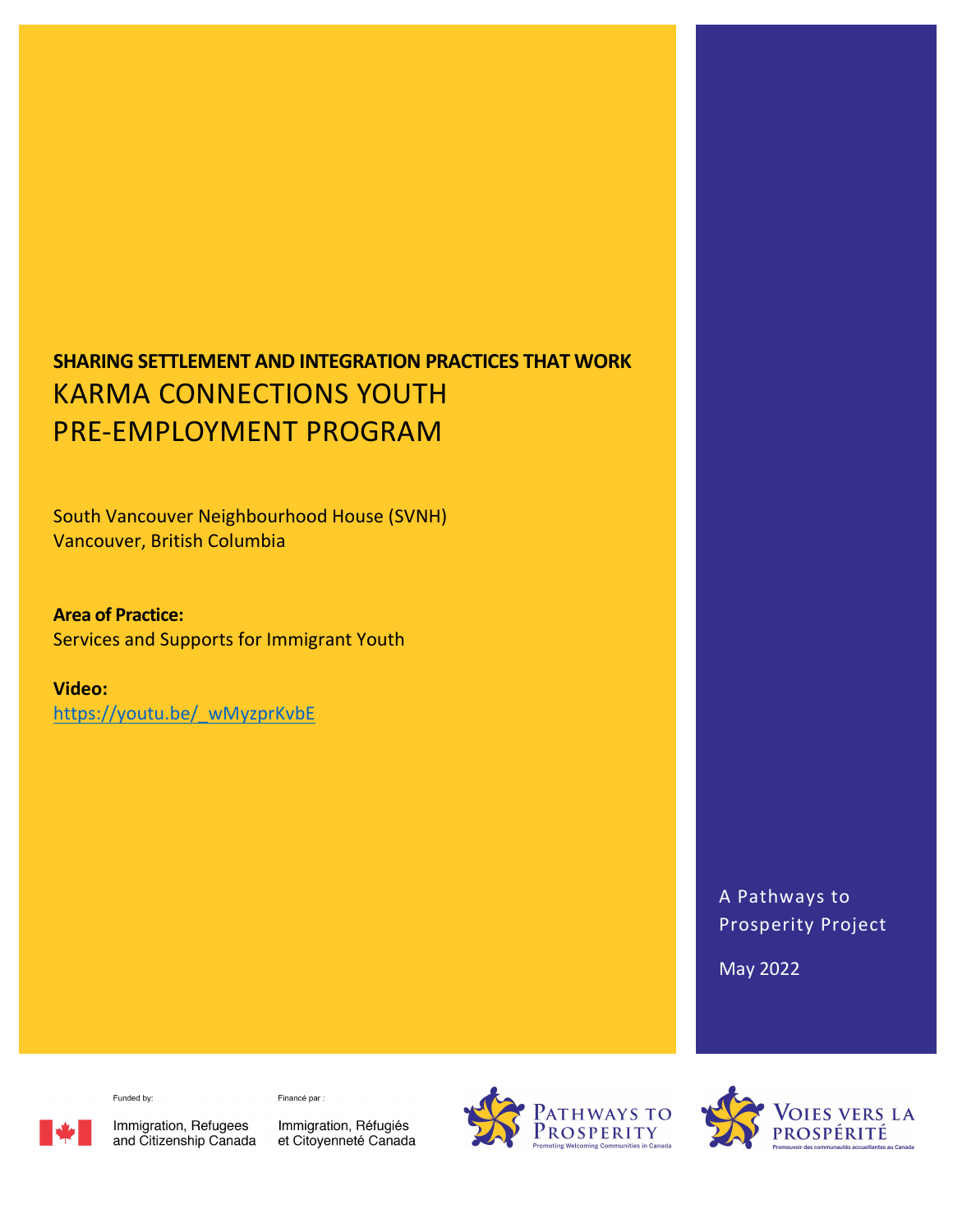# SHARING SETTLEMENT AND INTEGRATION PRACTICES THAT WORK KARMA CONNECTIONS YOUTH PRE-EMPLOYMENT PROGRAM

South Vancouver Neighbourhood House (SVNH) Vancouver, British Columbia

Area of Practice: Services and Supports for Immigrant Youth

Video: https://youtu.be/\_wMyzprKvbE

> A Pathways to Prosperity Project

May 2022

Funded by:

Financé par :

Immigration, Refugees<br>and Citizenship Canada

Immigration, Réfugiés et Citoyenneté Canada



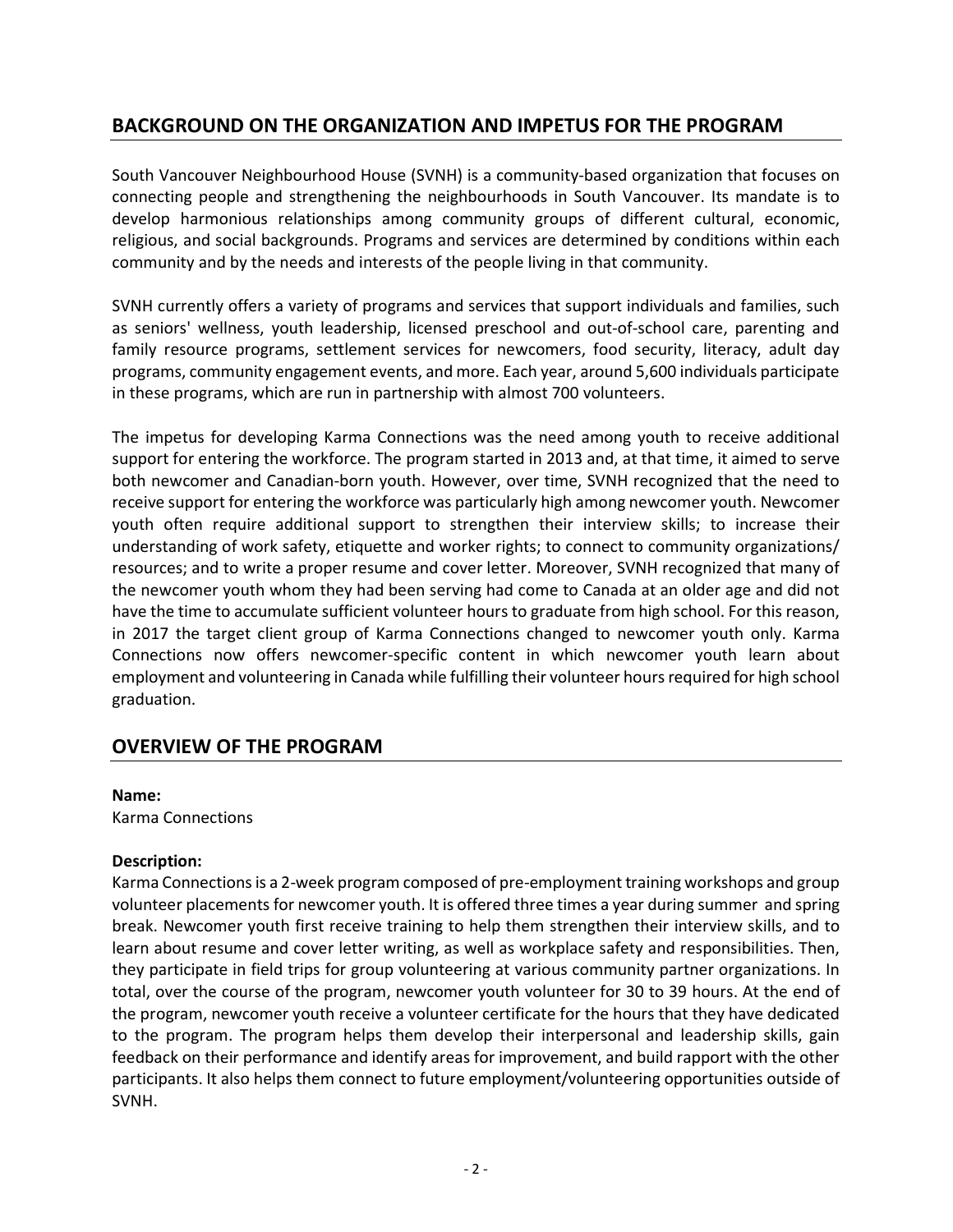# BACKGROUND ON THE ORGANIZATION AND IMPETUS FOR THE PROGRAM

South Vancouver Neighbourhood House (SVNH) is a community-based organization that focuses on connecting people and strengthening the neighbourhoods in South Vancouver. Its mandate is to develop harmonious relationships among community groups of different cultural, economic, religious, and social backgrounds. Programs and services are determined by conditions within each community and by the needs and interests of the people living in that community.

SVNH currently offers a variety of programs and services that support individuals and families, such as seniors' wellness, youth leadership, licensed preschool and out-of-school care, parenting and family resource programs, settlement services for newcomers, food security, literacy, adult day programs, community engagement events, and more. Each year, around 5,600 individuals participate in these programs, which are run in partnership with almost 700 volunteers.

The impetus for developing Karma Connections was the need among youth to receive additional support for entering the workforce. The program started in 2013 and, at that time, it aimed to serve both newcomer and Canadian-born youth. However, over time, SVNH recognized that the need to receive support for entering the workforce was particularly high among newcomer youth. Newcomer youth often require additional support to strengthen their interview skills; to increase their understanding of work safety, etiquette and worker rights; to connect to community organizations/ resources; and to write a proper resume and cover letter. Moreover, SVNH recognized that many of the newcomer youth whom they had been serving had come to Canada at an older age and did not have the time to accumulate sufficient volunteer hours to graduate from high school. For this reason, in 2017 the target client group of Karma Connections changed to newcomer youth only. Karma Connections now offers newcomer-specific content in which newcomer youth learn about employment and volunteering in Canada while fulfilling their volunteer hours required for high school graduation.

# OVERVIEW OF THE PROGRAM

#### Name:

Karma Connections

#### Description:

Karma Connections is a 2-week program composed of pre-employment training workshops and group volunteer placements for newcomer youth. It is offered three times a year during summer and spring break. Newcomer youth first receive training to help them strengthen their interview skills, and to learn about resume and cover letter writing, as well as workplace safety and responsibilities. Then, they participate in field trips for group volunteering at various community partner organizations. In total, over the course of the program, newcomer youth volunteer for 30 to 39 hours. At the end of the program, newcomer youth receive a volunteer certificate for the hours that they have dedicated to the program. The program helps them develop their interpersonal and leadership skills, gain feedback on their performance and identify areas for improvement, and build rapport with the other participants. It also helps them connect to future employment/volunteering opportunities outside of SVNH.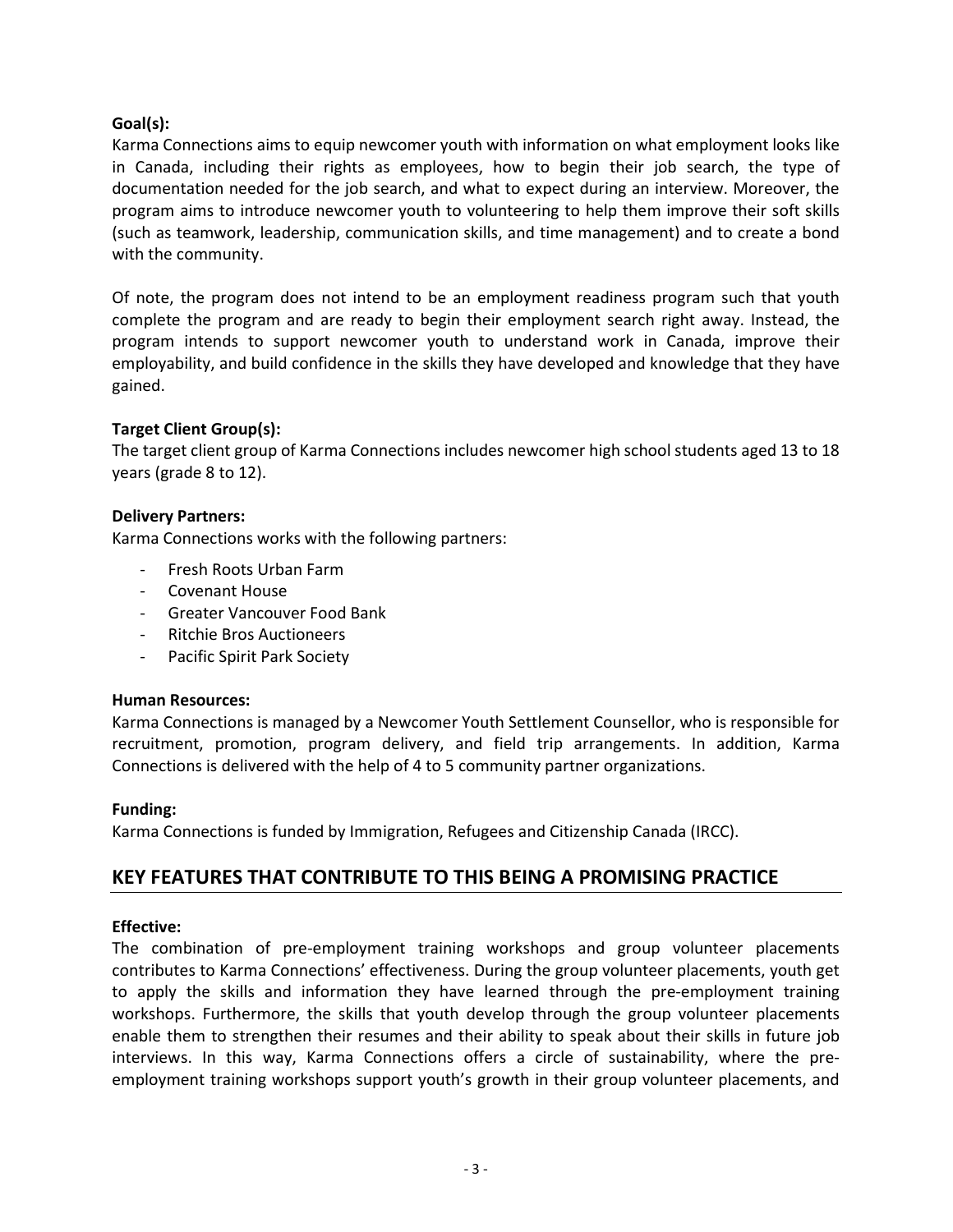## Goal(s):

Karma Connections aims to equip newcomer youth with information on what employment looks like in Canada, including their rights as employees, how to begin their job search, the type of documentation needed for the job search, and what to expect during an interview. Moreover, the program aims to introduce newcomer youth to volunteering to help them improve their soft skills (such as teamwork, leadership, communication skills, and time management) and to create a bond with the community.

Of note, the program does not intend to be an employment readiness program such that youth complete the program and are ready to begin their employment search right away. Instead, the program intends to support newcomer youth to understand work in Canada, improve their employability, and build confidence in the skills they have developed and knowledge that they have gained.

### Target Client Group(s):

The target client group of Karma Connections includes newcomer high school students aged 13 to 18 years (grade 8 to 12).

### Delivery Partners:

Karma Connections works with the following partners:

- Fresh Roots Urban Farm
- Covenant House
- Greater Vancouver Food Bank
- Ritchie Bros Auctioneers
- Pacific Spirit Park Society

### Human Resources:

Karma Connections is managed by a Newcomer Youth Settlement Counsellor, who is responsible for recruitment, promotion, program delivery, and field trip arrangements. In addition, Karma Connections is delivered with the help of 4 to 5 community partner organizations.

### Funding:

Karma Connections is funded by Immigration, Refugees and Citizenship Canada (IRCC).

# KEY FEATURES THAT CONTRIBUTE TO THIS BEING A PROMISING PRACTICE

### Effective:

The combination of pre-employment training workshops and group volunteer placements contributes to Karma Connections' effectiveness. During the group volunteer placements, youth get to apply the skills and information they have learned through the pre-employment training workshops. Furthermore, the skills that youth develop through the group volunteer placements enable them to strengthen their resumes and their ability to speak about their skills in future job interviews. In this way, Karma Connections offers a circle of sustainability, where the preemployment training workshops support youth's growth in their group volunteer placements, and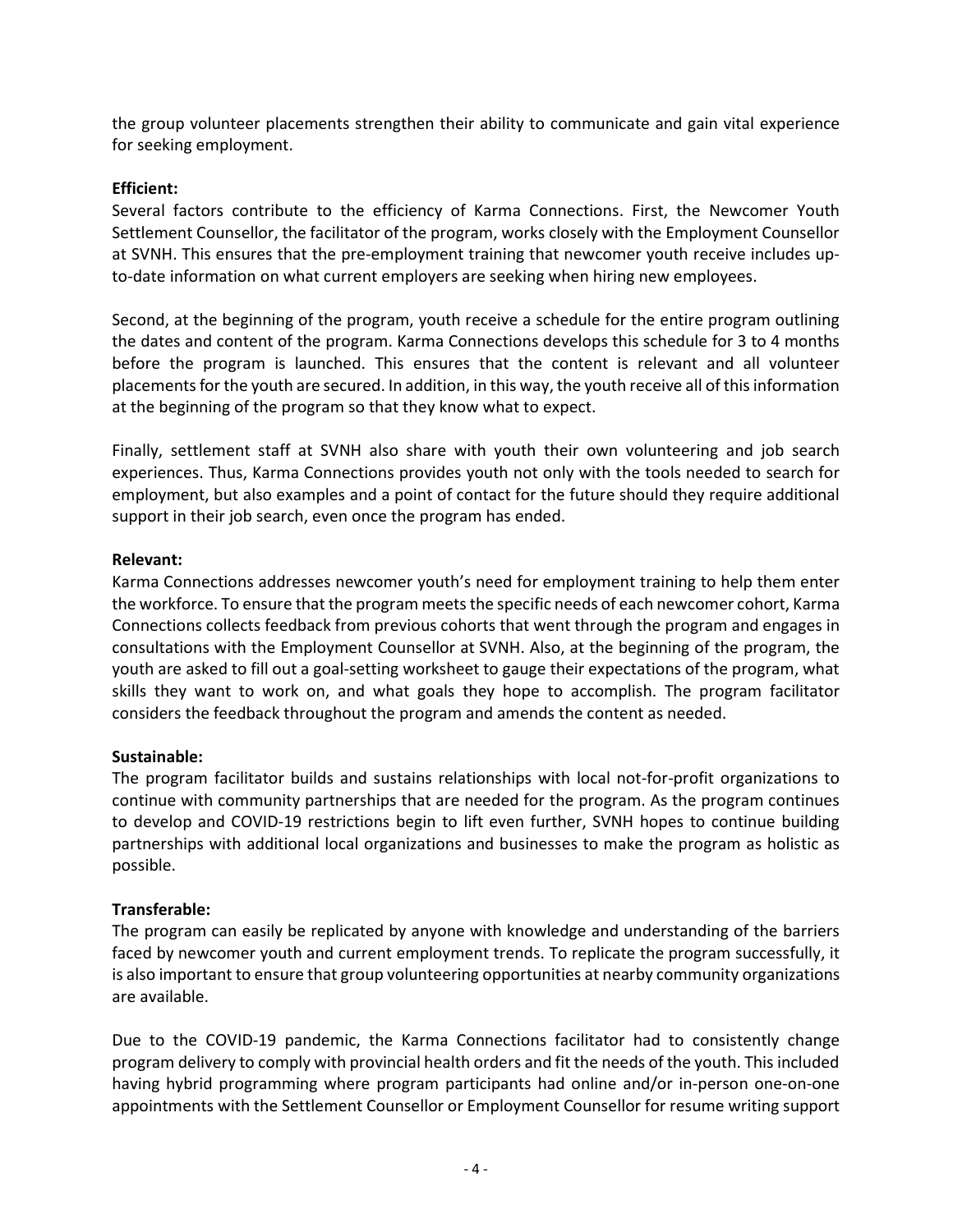the group volunteer placements strengthen their ability to communicate and gain vital experience for seeking employment.

## Efficient:

Several factors contribute to the efficiency of Karma Connections. First, the Newcomer Youth Settlement Counsellor, the facilitator of the program, works closely with the Employment Counsellor at SVNH. This ensures that the pre-employment training that newcomer youth receive includes upto-date information on what current employers are seeking when hiring new employees.

Second, at the beginning of the program, youth receive a schedule for the entire program outlining the dates and content of the program. Karma Connections develops this schedule for 3 to 4 months before the program is launched. This ensures that the content is relevant and all volunteer placements for the youth are secured. In addition, in this way, the youth receive all of this information at the beginning of the program so that they know what to expect.

Finally, settlement staff at SVNH also share with youth their own volunteering and job search experiences. Thus, Karma Connections provides youth not only with the tools needed to search for employment, but also examples and a point of contact for the future should they require additional support in their job search, even once the program has ended.

### Relevant:

Karma Connections addresses newcomer youth's need for employment training to help them enter the workforce. To ensure that the program meets the specific needs of each newcomer cohort, Karma Connections collects feedback from previous cohorts that went through the program and engages in consultations with the Employment Counsellor at SVNH. Also, at the beginning of the program, the youth are asked to fill out a goal-setting worksheet to gauge their expectations of the program, what skills they want to work on, and what goals they hope to accomplish. The program facilitator considers the feedback throughout the program and amends the content as needed.

### Sustainable:

The program facilitator builds and sustains relationships with local not-for-profit organizations to continue with community partnerships that are needed for the program. As the program continues to develop and COVID-19 restrictions begin to lift even further, SVNH hopes to continue building partnerships with additional local organizations and businesses to make the program as holistic as possible.

### Transferable:

The program can easily be replicated by anyone with knowledge and understanding of the barriers faced by newcomer youth and current employment trends. To replicate the program successfully, it is also important to ensure that group volunteering opportunities at nearby community organizations are available.

Due to the COVID-19 pandemic, the Karma Connections facilitator had to consistently change program delivery to comply with provincial health orders and fit the needs of the youth. This included having hybrid programming where program participants had online and/or in-person one-on-one appointments with the Settlement Counsellor or Employment Counsellor for resume writing support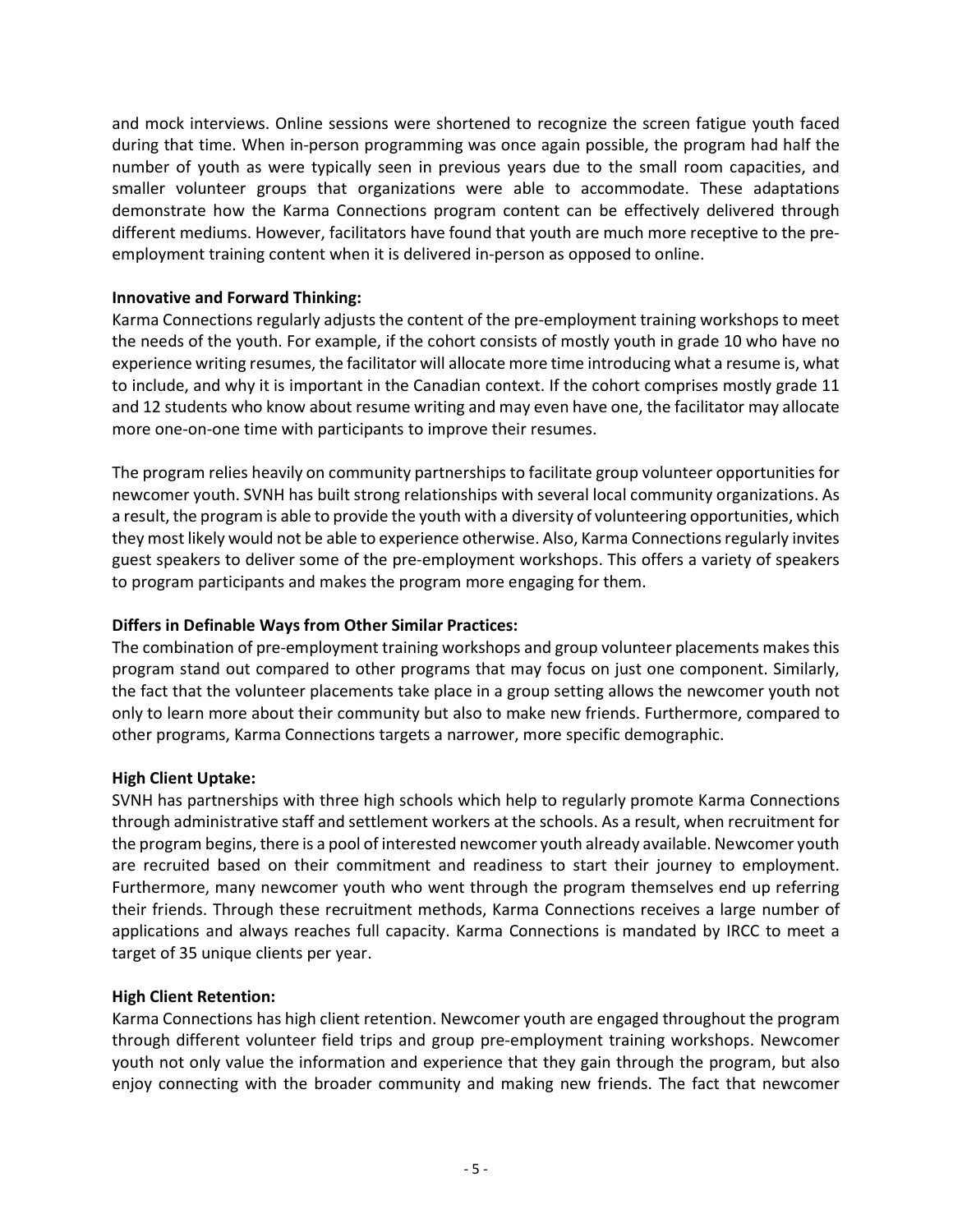and mock interviews. Online sessions were shortened to recognize the screen fatigue youth faced during that time. When in-person programming was once again possible, the program had half the number of youth as were typically seen in previous years due to the small room capacities, and smaller volunteer groups that organizations were able to accommodate. These adaptations demonstrate how the Karma Connections program content can be effectively delivered through different mediums. However, facilitators have found that youth are much more receptive to the preemployment training content when it is delivered in-person as opposed to online.

### Innovative and Forward Thinking:

Karma Connections regularly adjusts the content of the pre-employment training workshops to meet the needs of the youth. For example, if the cohort consists of mostly youth in grade 10 who have no experience writing resumes, the facilitator will allocate more time introducing what a resume is, what to include, and why it is important in the Canadian context. If the cohort comprises mostly grade 11 and 12 students who know about resume writing and may even have one, the facilitator may allocate more one-on-one time with participants to improve their resumes.

The program relies heavily on community partnerships to facilitate group volunteer opportunities for newcomer youth. SVNH has built strong relationships with several local community organizations. As a result, the program is able to provide the youth with a diversity of volunteering opportunities, which they most likely would not be able to experience otherwise. Also, Karma Connections regularly invites guest speakers to deliver some of the pre-employment workshops. This offers a variety of speakers to program participants and makes the program more engaging for them.

### Differs in Definable Ways from Other Similar Practices:

The combination of pre-employment training workshops and group volunteer placements makes this program stand out compared to other programs that may focus on just one component. Similarly, the fact that the volunteer placements take place in a group setting allows the newcomer youth not only to learn more about their community but also to make new friends. Furthermore, compared to other programs, Karma Connections targets a narrower, more specific demographic.

### High Client Uptake:

SVNH has partnerships with three high schools which help to regularly promote Karma Connections through administrative staff and settlement workers at the schools. As a result, when recruitment for the program begins, there is a pool of interested newcomer youth already available. Newcomer youth are recruited based on their commitment and readiness to start their journey to employment. Furthermore, many newcomer youth who went through the program themselves end up referring their friends. Through these recruitment methods, Karma Connections receives a large number of applications and always reaches full capacity. Karma Connections is mandated by IRCC to meet a target of 35 unique clients per year.

#### High Client Retention:

Karma Connections has high client retention. Newcomer youth are engaged throughout the program through different volunteer field trips and group pre-employment training workshops. Newcomer youth not only value the information and experience that they gain through the program, but also enjoy connecting with the broader community and making new friends. The fact that newcomer